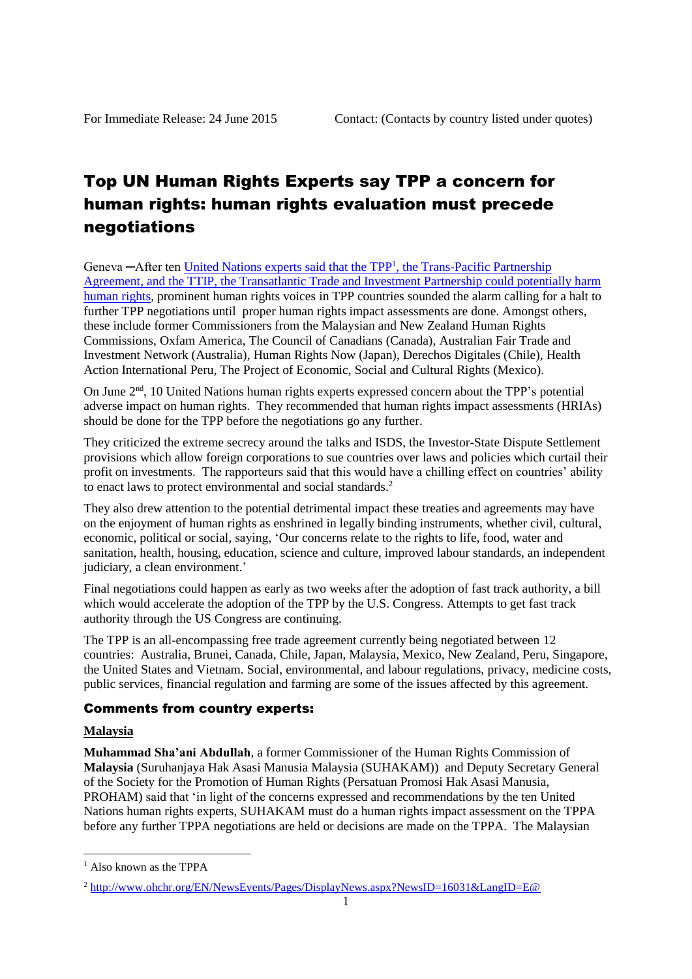# Top UN Human Rights Experts say TPP a concern for human rights: human rights evaluation must precede negotiations

Geneva - After ten United Nations experts said that the TPP<sup>1</sup>[, the Trans-Pacific Partnership](http://www.ohchr.org/FR/NewsEvents/Pages/DisplayNews.aspx?NewsID=16031&LangID=E) [Agreement, and the TTIP, the Transatlantic Trade and Investment Partnership could potentially harm](http://www.ohchr.org/FR/NewsEvents/Pages/DisplayNews.aspx?NewsID=16031&LangID=E)  [human rights,](http://www.ohchr.org/FR/NewsEvents/Pages/DisplayNews.aspx?NewsID=16031&LangID=E) prominent human rights voices in TPP countries sounded the alarm calling for a halt to further TPP negotiations until proper human rights impact assessments are done. Amongst others, these include former Commissioners from the Malaysian and New Zealand Human Rights Commissions, Oxfam America, The Council of Canadians (Canada), Australian Fair Trade and Investment Network (Australia), Human Rights Now (Japan), Derechos Digitales (Chile), Health Action International Peru, The Project of Economic, Social and Cultural Rights (Mexico).

On June 2<sup>nd</sup>, 10 United Nations human rights experts expressed concern about the TPP's potential adverse impact on human rights. They recommended that human rights impact assessments (HRIAs) should be done for the TPP before the negotiations go any further.

They criticized the extreme secrecy around the talks and ISDS, the Investor-State Dispute Settlement provisions which allow foreign corporations to sue countries over laws and policies which curtail their profit on investments. The rapporteurs said that this would have a chilling effect on countries' ability to enact laws to protect environmental and social standards.<sup>2</sup>

They also drew attention to the potential detrimental impact these treaties and agreements may have on the enjoyment of human rights as enshrined in legally binding instruments, whether civil, cultural, economic, political or social, saying, 'Our concerns relate to the rights to life, food, water and sanitation, health, housing, education, science and culture, improved labour standards, an independent judiciary, a clean environment.'

Final negotiations could happen as early as two weeks after the adoption of fast track authority, a bill which would accelerate the adoption of the TPP by the U.S. Congress. Attempts to get fast track authority through the US Congress are continuing.

The TPP is an all-encompassing free trade agreement currently being negotiated between 12 countries: Australia, Brunei, Canada, Chile, Japan, Malaysia, Mexico, New Zealand, Peru, Singapore, the United States and Vietnam. Social, environmental, and labour regulations, privacy, medicine costs, public services, financial regulation and farming are some of the issues affected by this agreement.

#### Comments from country experts:

#### **Malaysia**

1

**Muhammad Sha'ani Abdullah**, a former Commissioner of the Human Rights Commission of **Malaysia** (Suruhanjaya Hak Asasi Manusia Malaysia (SUHAKAM)) and Deputy Secretary General of the Society for the Promotion of Human Rights (Persatuan Promosi Hak Asasi Manusia, PROHAM) said that 'in light of the concerns expressed and recommendations by the ten United Nations human rights experts, SUHAKAM must do a human rights impact assessment on the TPPA before any further TPPA negotiations are held or decisions are made on the TPPA. The Malaysian

<sup>1</sup> Also known as the TPPA

<sup>2</sup> <http://www.ohchr.org/EN/NewsEvents/Pages/DisplayNews.aspx?NewsID=16031&LangID=E@>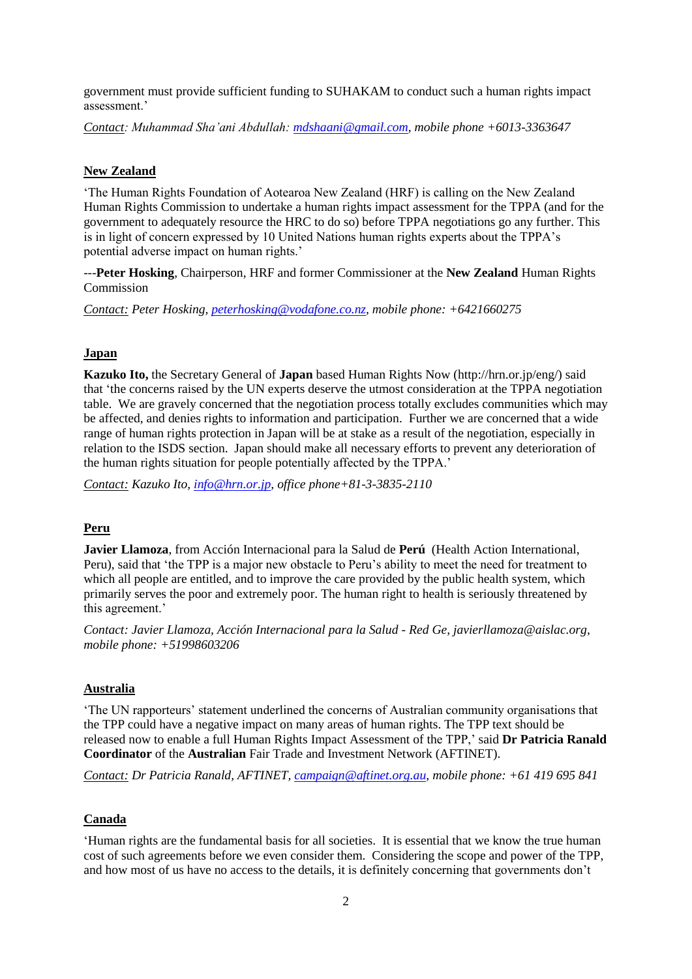government must provide sufficient funding to SUHAKAM to conduct such a human rights impact assessment.'

*Contact: Muhammad Sha'ani Abdullah: [mdshaani@gmail.com,](mailto:mdshaani@gmail.com) mobile phone +6013-3363647*

#### **New Zealand**

'The Human Rights Foundation of Aotearoa New Zealand (HRF) is calling on the New Zealand Human Rights Commission to undertake a human rights impact assessment for the TPPA (and for the government to adequately resource the HRC to do so) before TPPA negotiations go any further. This is in light of concern expressed by 10 United Nations human rights experts about the TPPA's potential adverse impact on human rights.'

---**Peter Hosking**, Chairperson, HRF and former Commissioner at the **New Zealand** Human Rights Commission

*Contact: Peter Hosking, [peterhosking@vodafone.co.nz,](mailto:peterhosking@vodafone.co.nz) mobile phone: +6421660275*

#### **Japan**

**Kazuko Ito,** the Secretary General of **Japan** based Human Rights Now (http://hrn.or.jp/eng/) said that 'the concerns raised by the UN experts deserve the utmost consideration at the TPPA negotiation table. We are gravely concerned that the negotiation process totally excludes communities which may be affected, and denies rights to information and participation. Further we are concerned that a wide range of human rights protection in Japan will be at stake as a result of the negotiation, especially in relation to the ISDS section. Japan should make all necessary efforts to prevent any deterioration of the human rights situation for people potentially affected by the TPPA.'

*Contact: Kazuko Ito, [info@hrn.or.jp,](mailto:info@hrn.or.jp) office phone+81-3-3835-2110*

# **Peru**

**Javier Llamoza**, from Acción Internacional para la Salud de **Perú** (Health Action International, Peru), said that 'the TPP is a major new obstacle to Peru's ability to meet the need for treatment to which all people are entitled, and to improve the care provided by the public health system, which primarily serves the poor and extremely poor. The human right to health is seriously threatened by this agreement.'

*Contact: Javier Llamoza, Acción Internacional para la Salud - Red Ge, [javierllamoza@aislac.org,](mailto:javierllamoza@aislac.org) mobile phone: +51998603206*

#### **Australia**

'The UN rapporteurs' statement underlined the concerns of Australian community organisations that the TPP could have a negative impact on many areas of human rights. The TPP text should be released now to enable a full Human Rights Impact Assessment of the TPP,' said **Dr Patricia Ranald Coordinator** of the **Australian** Fair Trade and Investment Network (AFTINET).

*Contact: Dr Patricia Ranald, AFTINET, [campaign@aftinet.org.au,](mailto:campaign@aftinet.org.au) mobile phone: +61 419 695 841*

#### **Canada**

'Human rights are the fundamental basis for all societies. It is essential that we know the true human cost of such agreements before we even consider them. Considering the scope and power of the TPP, and how most of us have no access to the details, it is definitely concerning that governments don't